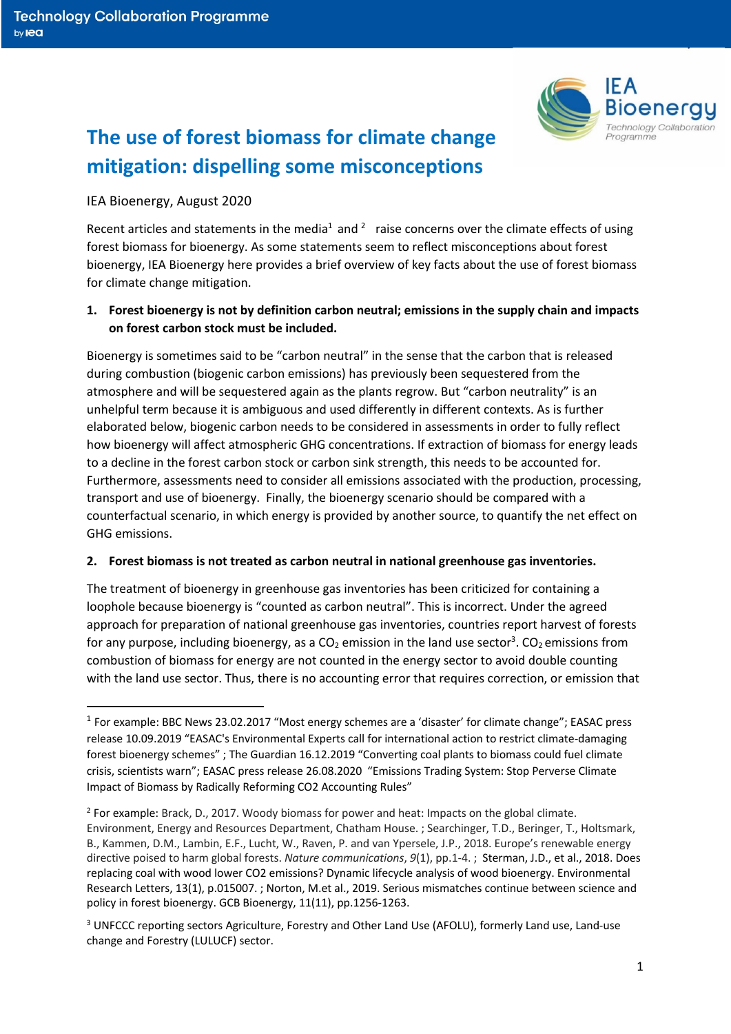

# **The use of forest biomass for climate change mitigation: dispelling some misconceptions**

## IEA Bioenergy, August 2020

Recent articles and statements in the media<sup>1</sup> and <sup>2</sup> raise concerns over the climate effects of using forest biomass for bioenergy. As some statements seem to reflect misconceptions about forest bioenergy, IEA Bioenergy here provides a brief overview of key facts about the use of forest biomass for climate change mitigation.

## **1. Forest bioenergy is not by definition carbon neutral; emissions in the supply chain and impacts on forest carbon stock must be included.**

Bioenergy is sometimes said to be "carbon neutral" in the sense that the carbon that is released during combustion (biogenic carbon emissions) has previously been sequestered from the atmosphere and will be sequestered again as the plants regrow. But "carbon neutrality" is an unhelpful term because it is ambiguous and used differently in different contexts. As is further elaborated below, biogenic carbon needs to be considered in assessments in order to fully reflect how bioenergy will affect atmospheric GHG concentrations. If extraction of biomass for energy leads to a decline in the forest carbon stock or carbon sink strength, this needs to be accounted for. Furthermore, assessments need to consider all emissions associated with the production, processing, transport and use of bioenergy. Finally, the bioenergy scenario should be compared with a counterfactual scenario, in which energy is provided by another source, to quantify the net effect on GHG emissions.

#### **2. Forest biomass is not treated as carbon neutral in national greenhouse gas inventories.**

The treatment of bioenergy in greenhouse gas inventories has been criticized for containing a loophole because bioenergy is "counted as carbon neutral". This is incorrect. Under the agreed approach for preparation of national greenhouse gas inventories, countries report harvest of forests for any purpose, including bioenergy, as a CO<sub>2</sub> emission in the land use sector<sup>3</sup>. CO<sub>2</sub> emissions from combustion of biomass for energy are not counted in the energy sector to avoid double counting with the land use sector. Thus, there is no accounting error that requires correction, or emission that

<sup>1</sup> For example: BBC News 23.02.2017 "Most energy schemes are a 'disaster' for climate change"; EASAC press release 10.09.2019 "EASAC's Environmental Experts call for international action to restrict climate-damaging forest bioenergy schemes" ; The Guardian 16.12.2019 "Converting coal plants to biomass could fuel climate crisis, scientists warn"; EASAC press release 26.08.2020 "Emissions Trading System: Stop Perverse Climate Impact of Biomass by Radically Reforming CO2 Accounting Rules"

<sup>2</sup> For example: Brack, D., 2017. Woody biomass for power and heat: Impacts on the global climate. Environment, Energy and Resources Department, Chatham House. ; Searchinger, T.D., Beringer, T., Holtsmark, B., Kammen, D.M., Lambin, E.F., Lucht, W., Raven, P. and van Ypersele, J.P., 2018. Europe's renewable energy directive poised to harm global forests. *Nature communications*, *9*(1), pp.1-4. ; Sterman, J.D., et al., 2018. Does replacing coal with wood lower CO2 emissions? Dynamic lifecycle analysis of wood bioenergy. Environmental Research Letters, 13(1), p.015007. ; Norton, M.et al., 2019. Serious mismatches continue between science and policy in forest bioenergy. GCB Bioenergy, 11(11), pp.1256-1263.

<sup>&</sup>lt;sup>3</sup> UNFCCC reporting sectors Agriculture, Forestry and Other Land Use (AFOLU), formerly Land use, Land-use change and Forestry (LULUCF) sector.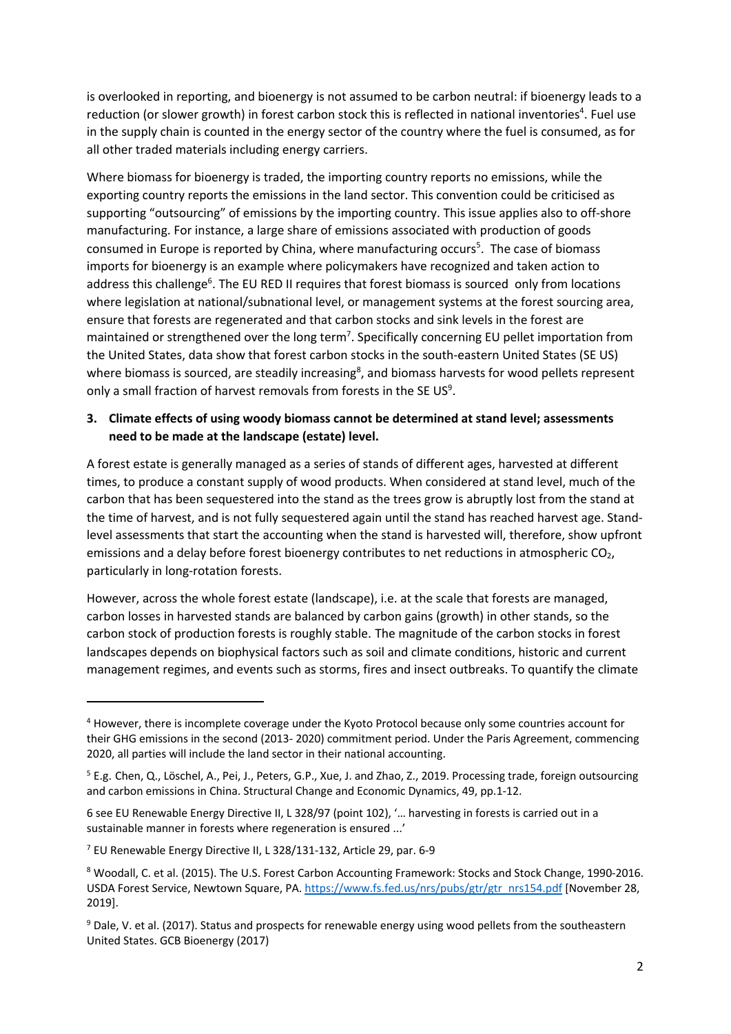is overlooked in reporting, and bioenergy is not assumed to be carbon neutral: if bioenergy leads to a reduction (or slower growth) in forest carbon stock this is reflected in national inventories<sup>4</sup>. Fuel use in the supply chain is counted in the energy sector of the country where the fuel is consumed, as for all other traded materials including energy carriers.

Where biomass for bioenergy is traded, the importing country reports no emissions, while the exporting country reports the emissions in the land sector. This convention could be criticised as supporting "outsourcing" of emissions by the importing country. This issue applies also to off-shore manufacturing. For instance, a large share of emissions associated with production of goods consumed in Europe is reported by China, where manufacturing occurs<sup>5</sup>. The case of biomass imports for bioenergy is an example where policymakers have recognized and taken action to address this challenge<sup>6</sup>. The EU RED II requires that forest biomass is sourced only from locations where legislation at national/subnational level, or management systems at the forest sourcing area, ensure that forests are regenerated and that carbon stocks and sink levels in the forest are maintained or strengthened over the long term<sup>7</sup>. Specifically concerning EU pellet importation from the United States, data show that forest carbon stocks in the south-eastern United States (SE US) where biomass is sourced, are steadily increasing<sup>8</sup>, and biomass harvests for wood pellets represent only a small fraction of harvest removals from forests in the SE US $9$ .

## **3. Climate effects of using woody biomass cannot be determined at stand level; assessments need to be made at the landscape (estate) level.**

A forest estate is generally managed as a series of stands of different ages, harvested at different times, to produce a constant supply of wood products. When considered at stand level, much of the carbon that has been sequestered into the stand as the trees grow is abruptly lost from the stand at the time of harvest, and is not fully sequestered again until the stand has reached harvest age. Standlevel assessments that start the accounting when the stand is harvested will, therefore, show upfront emissions and a delay before forest bioenergy contributes to net reductions in atmospheric  $CO<sub>2</sub>$ , particularly in long-rotation forests.

However, across the whole forest estate (landscape), i.e. at the scale that forests are managed, carbon losses in harvested stands are balanced by carbon gains (growth) in other stands, so the carbon stock of production forests is roughly stable. The magnitude of the carbon stocks in forest landscapes depends on biophysical factors such as soil and climate conditions, historic and current management regimes, and events such as storms, fires and insect outbreaks. To quantify the climate

<sup>4</sup> However, there is incomplete coverage under the Kyoto Protocol because only some countries account for their GHG emissions in the second (2013- 2020) commitment period. Under the Paris Agreement, commencing 2020, all parties will include the land sector in their national accounting.

<sup>5</sup> E.g. Chen, Q., Löschel, A., Pei, J., Peters, G.P., Xue, J. and Zhao, Z., 2019. Processing trade, foreign outsourcing and carbon emissions in China. Structural Change and Economic Dynamics, 49, pp.1-12.

<sup>6</sup> see EU Renewable Energy Directive II, L 328/97 (point 102), '… harvesting in forests is carried out in a sustainable manner in forests where regeneration is ensured ...'

<sup>7</sup> EU Renewable Energy Directive II, L 328/131-132, Article 29, par. 6-9

<sup>8</sup> Woodall, C. et al. (2015). The U.S. Forest Carbon Accounting Framework: Stocks and Stock Change, 1990-2016. USDA Forest Service, Newtown Square, PA. https://www.fs.fed.us/nrs/pubs/gtr/gtr\_nrs154.pdf [November 28, 2019].

<sup>&</sup>lt;sup>9</sup> Dale, V. et al. (2017). Status and prospects for renewable energy using wood pellets from the southeastern United States. GCB Bioenergy (2017)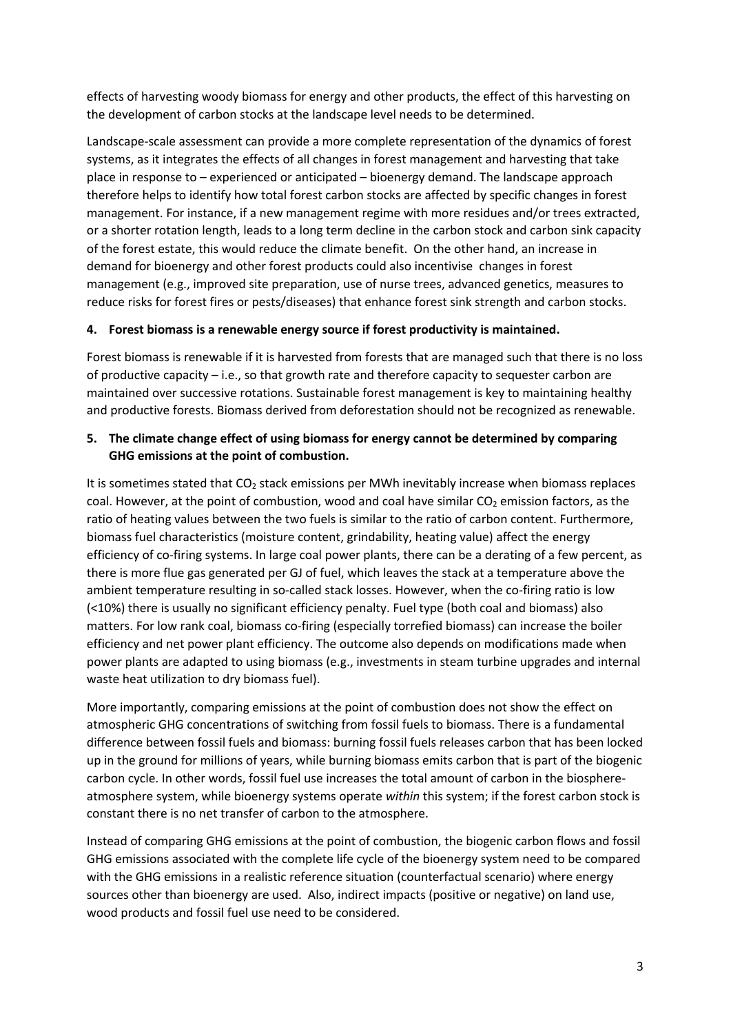effects of harvesting woody biomass for energy and other products, the effect of this harvesting on the development of carbon stocks at the landscape level needs to be determined.

Landscape-scale assessment can provide a more complete representation of the dynamics of forest systems, as it integrates the effects of all changes in forest management and harvesting that take place in response to – experienced or anticipated – bioenergy demand. The landscape approach therefore helps to identify how total forest carbon stocks are affected by specific changes in forest management. For instance, if a new management regime with more residues and/or trees extracted, or a shorter rotation length, leads to a long term decline in the carbon stock and carbon sink capacity of the forest estate, this would reduce the climate benefit. On the other hand, an increase in demand for bioenergy and other forest products could also incentivise changes in forest management (e.g., improved site preparation, use of nurse trees, advanced genetics, measures to reduce risks for forest fires or pests/diseases) that enhance forest sink strength and carbon stocks.

## **4. Forest biomass is a renewable energy source if forest productivity is maintained.**

Forest biomass is renewable if it is harvested from forests that are managed such that there is no loss of productive capacity – i.e., so that growth rate and therefore capacity to sequester carbon are maintained over successive rotations. Sustainable forest management is key to maintaining healthy and productive forests. Biomass derived from deforestation should not be recognized as renewable.

# **5. The climate change effect of using biomass for energy cannot be determined by comparing GHG emissions at the point of combustion.**

It is sometimes stated that CO<sub>2</sub> stack emissions per MWh inevitably increase when biomass replaces coal. However, at the point of combustion, wood and coal have similar  $CO<sub>2</sub>$  emission factors, as the ratio of heating values between the two fuels is similar to the ratio of carbon content. Furthermore, biomass fuel characteristics (moisture content, grindability, heating value) affect the energy efficiency of co-firing systems. In large coal power plants, there can be a derating of a few percent, as there is more flue gas generated per GJ of fuel, which leaves the stack at a temperature above the ambient temperature resulting in so-called stack losses. However, when the co-firing ratio is low (<10%) there is usually no significant efficiency penalty. Fuel type (both coal and biomass) also matters. For low rank coal, biomass co-firing (especially torrefied biomass) can increase the boiler efficiency and net power plant efficiency. The outcome also depends on modifications made when power plants are adapted to using biomass (e.g., investments in steam turbine upgrades and internal waste heat utilization to dry biomass fuel).

More importantly, comparing emissions at the point of combustion does not show the effect on atmospheric GHG concentrations of switching from fossil fuels to biomass. There is a fundamental difference between fossil fuels and biomass: burning fossil fuels releases carbon that has been locked up in the ground for millions of years, while burning biomass emits carbon that is part of the biogenic carbon cycle. In other words, fossil fuel use increases the total amount of carbon in the biosphereatmosphere system, while bioenergy systems operate *within* this system; if the forest carbon stock is constant there is no net transfer of carbon to the atmosphere.

Instead of comparing GHG emissions at the point of combustion, the biogenic carbon flows and fossil GHG emissions associated with the complete life cycle of the bioenergy system need to be compared with the GHG emissions in a realistic reference situation (counterfactual scenario) where energy sources other than bioenergy are used. Also, indirect impacts (positive or negative) on land use, wood products and fossil fuel use need to be considered.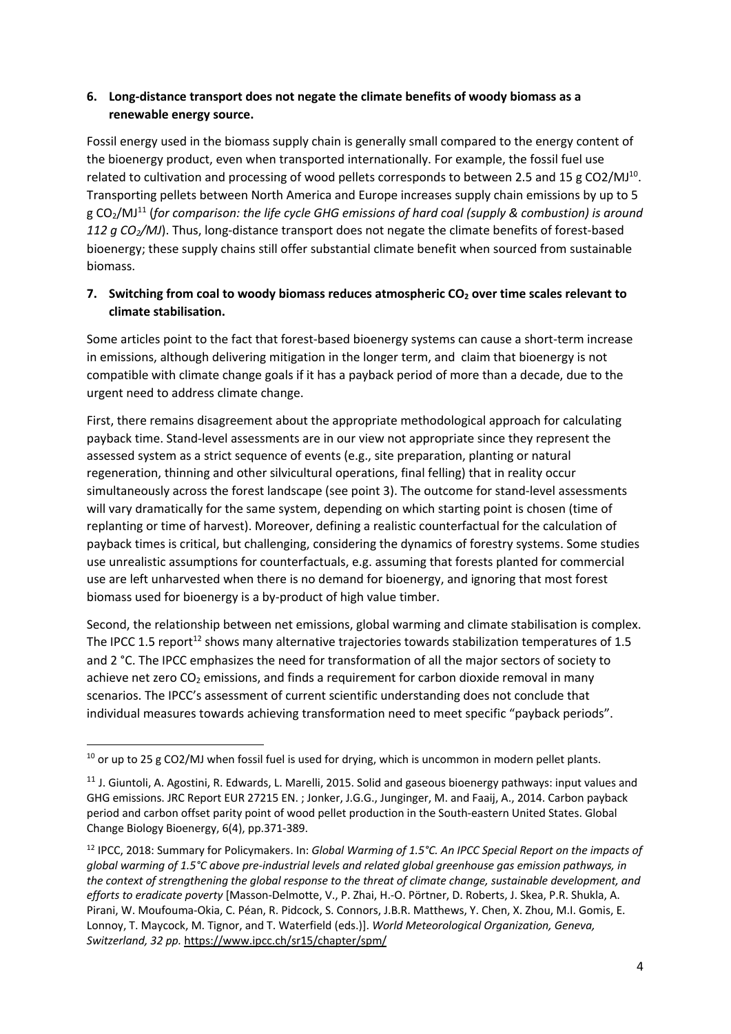# **6. Long-distance transport does not negate the climate benefits of woody biomass as a renewable energy source.**

Fossil energy used in the biomass supply chain is generally small compared to the energy content of the bioenergy product, even when transported internationally. For example, the fossil fuel use related to cultivation and processing of wood pellets corresponds to between 2.5 and 15 g CO2/MJ<sup>10</sup>. Transporting pellets between North America and Europe increases supply chain emissions by up to 5 g CO2/MJ11 (*for comparison: the life cycle GHG emissions of hard coal (supply & combustion) is around 112 g CO2/MJ*). Thus, long-distance transport does not negate the climate benefits of forest-based bioenergy; these supply chains still offer substantial climate benefit when sourced from sustainable biomass.

# **7.** Switching from coal to woody biomass reduces atmospheric CO<sub>2</sub> over time scales relevant to **climate stabilisation.**

Some articles point to the fact that forest-based bioenergy systems can cause a short-term increase in emissions, although delivering mitigation in the longer term, and claim that bioenergy is not compatible with climate change goals if it has a payback period of more than a decade, due to the urgent need to address climate change.

First, there remains disagreement about the appropriate methodological approach for calculating payback time. Stand-level assessments are in our view not appropriate since they represent the assessed system as a strict sequence of events (e.g., site preparation, planting or natural regeneration, thinning and other silvicultural operations, final felling) that in reality occur simultaneously across the forest landscape (see point 3). The outcome for stand-level assessments will vary dramatically for the same system, depending on which starting point is chosen (time of replanting or time of harvest). Moreover, defining a realistic counterfactual for the calculation of payback times is critical, but challenging, considering the dynamics of forestry systems. Some studies use unrealistic assumptions for counterfactuals, e.g. assuming that forests planted for commercial use are left unharvested when there is no demand for bioenergy, and ignoring that most forest biomass used for bioenergy is a by-product of high value timber.

Second, the relationship between net emissions, global warming and climate stabilisation is complex. The IPCC 1.5 report<sup>12</sup> shows many alternative trajectories towards stabilization temperatures of 1.5 and 2 °C. The IPCC emphasizes the need for transformation of all the major sectors of society to achieve net zero CO<sub>2</sub> emissions, and finds a requirement for carbon dioxide removal in many scenarios. The IPCC's assessment of current scientific understanding does not conclude that individual measures towards achieving transformation need to meet specific "payback periods".

 $10$  or up to 25 g CO2/MJ when fossil fuel is used for drying, which is uncommon in modern pellet plants.

<sup>&</sup>lt;sup>11</sup> J. Giuntoli, A. Agostini, R. Edwards, L. Marelli, 2015. Solid and gaseous bioenergy pathways: input values and GHG emissions. JRC Report EUR 27215 EN. ; Jonker, J.G.G., Junginger, M. and Faaij, A., 2014. Carbon payback period and carbon offset parity point of wood pellet production in the South-eastern United States. Global Change Biology Bioenergy, 6(4), pp.371-389.

<sup>12</sup> IPCC, 2018: Summary for Policymakers. In: *Global Warming of 1.5°C. An IPCC Special Report on the impacts of global warming of 1.5°C above pre-industrial levels and related global greenhouse gas emission pathways, in the context of strengthening the global response to the threat of climate change, sustainable development, and efforts to eradicate poverty* [Masson-Delmotte, V., P. Zhai, H.-O. Pörtner, D. Roberts, J. Skea, P.R. Shukla, A. Pirani, W. Moufouma-Okia, C. Péan, R. Pidcock, S. Connors, J.B.R. Matthews, Y. Chen, X. Zhou, M.I. Gomis, E. Lonnoy, T. Maycock, M. Tignor, and T. Waterfield (eds.)]. *World Meteorological Organization, Geneva, Switzerland, 32 pp.* https://www.ipcc.ch/sr15/chapter/spm/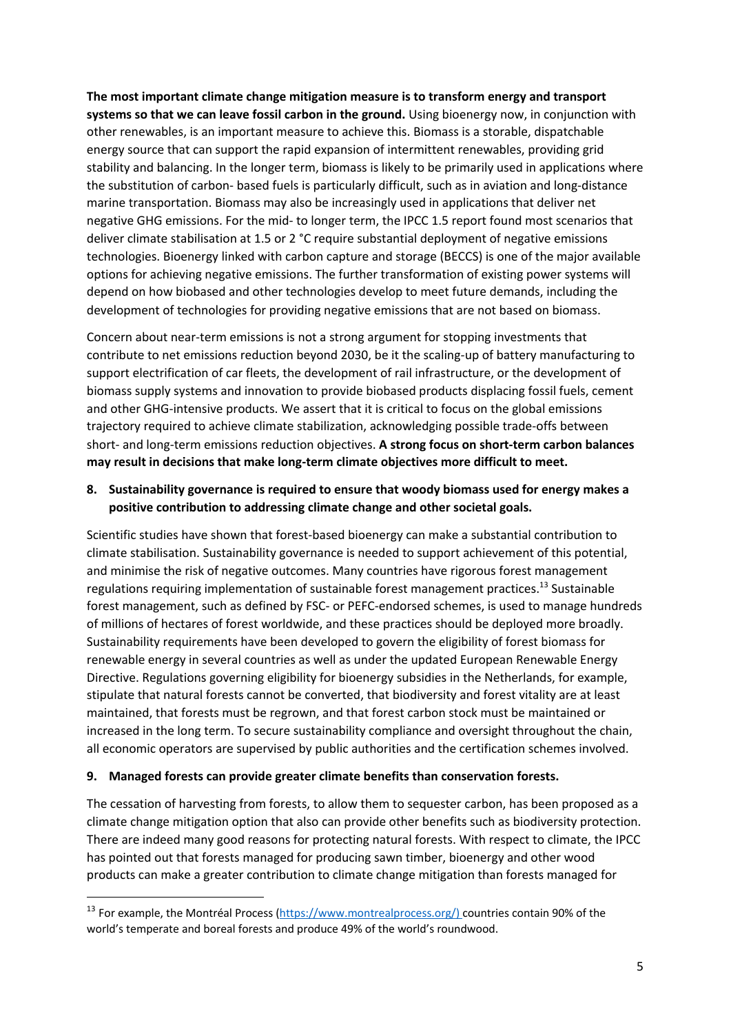**The most important climate change mitigation measure is to transform energy and transport systems so that we can leave fossil carbon in the ground.** Using bioenergy now, in conjunction with other renewables, is an important measure to achieve this. Biomass is a storable, dispatchable energy source that can support the rapid expansion of intermittent renewables, providing grid stability and balancing. In the longer term, biomass is likely to be primarily used in applications where the substitution of carbon- based fuels is particularly difficult, such as in aviation and long-distance marine transportation. Biomass may also be increasingly used in applications that deliver net negative GHG emissions. For the mid- to longer term, the IPCC 1.5 report found most scenarios that deliver climate stabilisation at 1.5 or 2 °C require substantial deployment of negative emissions technologies. Bioenergy linked with carbon capture and storage (BECCS) is one of the major available options for achieving negative emissions. The further transformation of existing power systems will depend on how biobased and other technologies develop to meet future demands, including the development of technologies for providing negative emissions that are not based on biomass.

Concern about near-term emissions is not a strong argument for stopping investments that contribute to net emissions reduction beyond 2030, be it the scaling-up of battery manufacturing to support electrification of car fleets, the development of rail infrastructure, or the development of biomass supply systems and innovation to provide biobased products displacing fossil fuels, cement and other GHG-intensive products. We assert that it is critical to focus on the global emissions trajectory required to achieve climate stabilization, acknowledging possible trade-offs between short- and long-term emissions reduction objectives. **A strong focus on short-term carbon balances may result in decisions that make long-term climate objectives more difficult to meet.**

# **8. Sustainability governance is required to ensure that woody biomass used for energy makes a positive contribution to addressing climate change and other societal goals.**

Scientific studies have shown that forest-based bioenergy can make a substantial contribution to climate stabilisation. Sustainability governance is needed to support achievement of this potential, and minimise the risk of negative outcomes. Many countries have rigorous forest management regulations requiring implementation of sustainable forest management practices.<sup>13</sup> Sustainable forest management, such as defined by FSC- or PEFC-endorsed schemes, is used to manage hundreds of millions of hectares of forest worldwide, and these practices should be deployed more broadly. Sustainability requirements have been developed to govern the eligibility of forest biomass for renewable energy in several countries as well as under the updated European Renewable Energy Directive. Regulations governing eligibility for bioenergy subsidies in the Netherlands, for example, stipulate that natural forests cannot be converted, that biodiversity and forest vitality are at least maintained, that forests must be regrown, and that forest carbon stock must be maintained or increased in the long term. To secure sustainability compliance and oversight throughout the chain, all economic operators are supervised by public authorities and the certification schemes involved.

#### **9. Managed forests can provide greater climate benefits than conservation forests.**

The cessation of harvesting from forests, to allow them to sequester carbon, has been proposed as a climate change mitigation option that also can provide other benefits such as biodiversity protection. There are indeed many good reasons for protecting natural forests. With respect to climate, the IPCC has pointed out that forests managed for producing sawn timber, bioenergy and other wood products can make a greater contribution to climate change mitigation than forests managed for

<sup>&</sup>lt;sup>13</sup> For example, the Montréal Process (https://www.montrealprocess.org/) countries contain 90% of the world's temperate and boreal forests and produce 49% of the world's roundwood.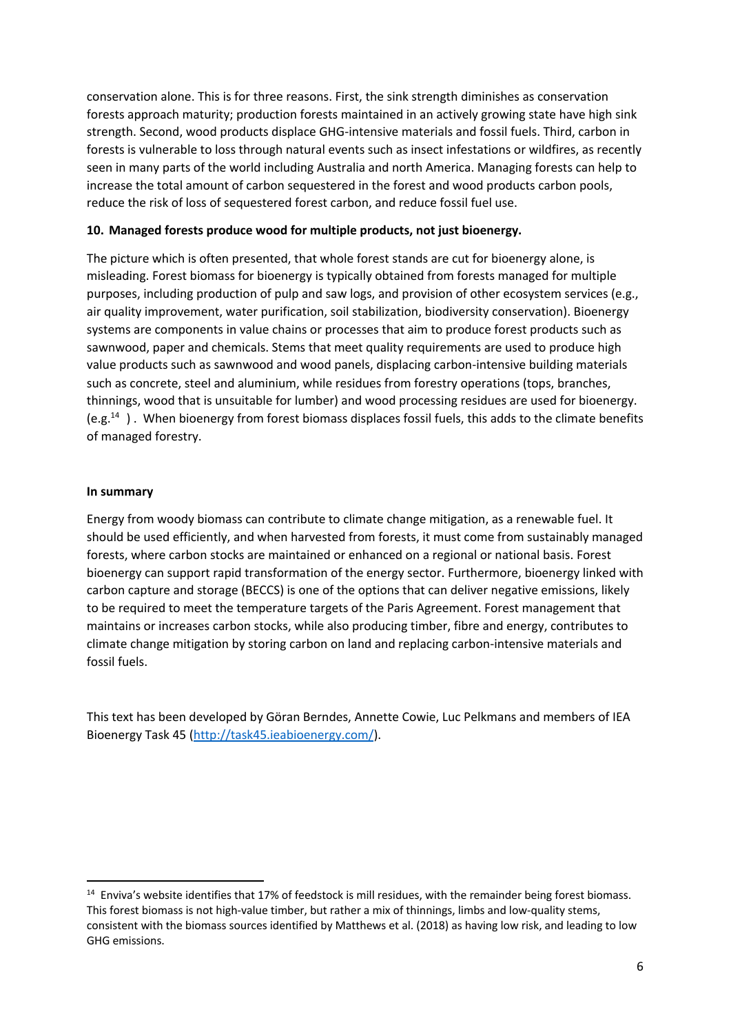conservation alone. This is for three reasons. First, the sink strength diminishes as conservation forests approach maturity; production forests maintained in an actively growing state have high sink strength. Second, wood products displace GHG-intensive materials and fossil fuels. Third, carbon in forests is vulnerable to loss through natural events such as insect infestations or wildfires, as recently seen in many parts of the world including Australia and north America. Managing forests can help to increase the total amount of carbon sequestered in the forest and wood products carbon pools, reduce the risk of loss of sequestered forest carbon, and reduce fossil fuel use.

### **10. Managed forests produce wood for multiple products, not just bioenergy.**

The picture which is often presented, that whole forest stands are cut for bioenergy alone, is misleading. Forest biomass for bioenergy is typically obtained from forests managed for multiple purposes, including production of pulp and saw logs, and provision of other ecosystem services (e.g., air quality improvement, water purification, soil stabilization, biodiversity conservation). Bioenergy systems are components in value chains or processes that aim to produce forest products such as sawnwood, paper and chemicals. Stems that meet quality requirements are used to produce high value products such as sawnwood and wood panels, displacing carbon-intensive building materials such as concrete, steel and aluminium, while residues from forestry operations (tops, branches, thinnings, wood that is unsuitable for lumber) and wood processing residues are used for bioenergy. (e.g.<sup>14</sup>). When bioenergy from forest biomass displaces fossil fuels, this adds to the climate benefits of managed forestry.

#### **In summary**

Energy from woody biomass can contribute to climate change mitigation, as a renewable fuel. It should be used efficiently, and when harvested from forests, it must come from sustainably managed forests, where carbon stocks are maintained or enhanced on a regional or national basis. Forest bioenergy can support rapid transformation of the energy sector. Furthermore, bioenergy linked with carbon capture and storage (BECCS) is one of the options that can deliver negative emissions, likely to be required to meet the temperature targets of the Paris Agreement. Forest management that maintains or increases carbon stocks, while also producing timber, fibre and energy, contributes to climate change mitigation by storing carbon on land and replacing carbon-intensive materials and fossil fuels.

This text has been developed by Göran Berndes, Annette Cowie, Luc Pelkmans and members of IEA Bioenergy Task 45 (http://task45.ieabioenergy.com/).

<sup>&</sup>lt;sup>14</sup> Enviva's website identifies that 17% of feedstock is mill residues, with the remainder being forest biomass. This forest biomass is not high-value timber, but rather a mix of thinnings, limbs and low-quality stems, consistent with the biomass sources identified by Matthews et al. (2018) as having low risk, and leading to low GHG emissions.